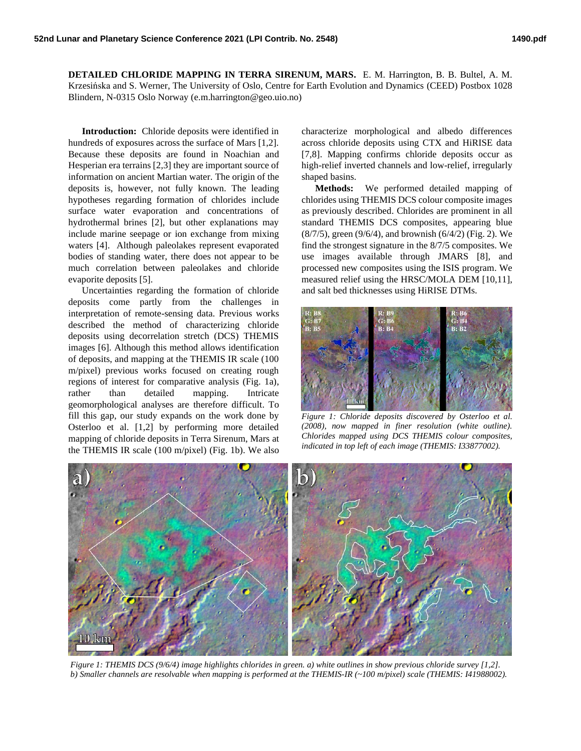**DETAILED CHLORIDE MAPPING IN TERRA SIRENUM, MARS.** E. M. Harrington, B. B. Bultel, A. M. Krzesińska and S. Werner, The University of Oslo, Centre for Earth Evolution and Dynamics (CEED) Postbox 1028 Blindern, N-0315 Oslo Norway (e.m.harrington@geo.uio.no)

**Introduction:** Chloride deposits were identified in hundreds of exposures across the surface of Mars [1,2]. Because these deposits are found in Noachian and Hesperian era terrains [2,3] they are important source of information on ancient Martian water. The origin of the deposits is, however, not fully known. The leading hypotheses regarding formation of chlorides include surface water evaporation and concentrations of hydrothermal brines [2], but other explanations may include marine seepage or ion exchange from mixing waters [4]. Although paleolakes represent evaporated bodies of standing water, there does not appear to be much correlation between paleolakes and chloride evaporite deposits [5].

Uncertainties regarding the formation of chloride deposits come partly from the challenges in interpretation of remote-sensing data. Previous works described the method of characterizing chloride deposits using decorrelation stretch (DCS) THEMIS images [6]. Although this method allows identification of deposits, and mapping at the THEMIS IR scale (100 m/pixel) previous works focused on creating rough regions of interest for comparative analysis (Fig. 1a), rather than detailed mapping. Intricate geomorphological analyses are therefore difficult. To fill this gap, our study expands on the work done by Osterloo et al. [1,2] by performing more detailed mapping of chloride deposits in Terra Sirenum, Mars at the THEMIS IR scale (100 m/pixel) (Fig. 1b). We also

characterize morphological and albedo differences across chloride deposits using CTX and HiRISE data [7,8]. Mapping confirms chloride deposits occur as high-relief inverted channels and low-relief, irregularly shaped basins.

**Methods:** We performed detailed mapping of chlorides using THEMIS DCS colour composite images as previously described. Chlorides are prominent in all standard THEMIS DCS composites, appearing blue (8/7/5), green (9/6/4), and brownish (6/4/2) (Fig. 2). We find the strongest signature in the 8/7/5 composites. We use images available through JMARS [8], and processed new composites using the ISIS program. We measured relief using the HRSC/MOLA DEM [10,11], and salt bed thicknesses using HiRISE DTMs.



*Figure 1: Chloride deposits discovered by Osterloo et al. (2008), now mapped in finer resolution (white outline). Chlorides mapped using DCS THEMIS colour composites, indicated in top left of each image (THEMIS: I33877002).*



*Figure 1: THEMIS DCS (9/6/4) image highlights chlorides in green. a) white outlines in show previous chloride survey [1,2]. b) Smaller channels are resolvable when mapping is performed at the THEMIS-IR (~100 m/pixel) scale (THEMIS: I41988002).*